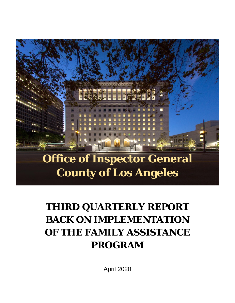# **Office of Inspector General County of Los Angeles**

# **THIRD QUARTERLY REPORT BACK ON IMPLEMENTATION OF THE FAMILY ASSISTANCE PROGRAM**

April 2020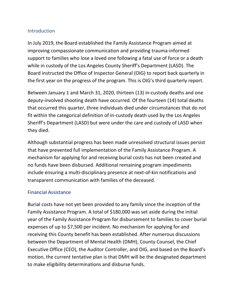### **Introduction**

In July 2019, the Board established the Family Assistance Program aimed at improving compassionate communication and providing trauma-informed support to families who lose a loved one following a fatal use of force or a death while in custody of the Los Angeles County Sheriff's Department (LASD). The Board instructed the Office of Inspector General (OIG) to report back quarterly in the first year on the progress of the program. This is OIG's third quarterly report.

Between January 1 and March 31, 2020, thirteen (13) in-custody deaths and one deputy-involved shooting death have occurred. Of the fourteen (14) total deaths that occurred this quarter, three individuals died under circumstances that do not fit within the categorical definition of in-custody death used by the Los Angeles Sheriff's Department (LASD) but were under the care and custody of LASD when they died.

Although substantial progress has been made unresolved structural issues persist that have prevented full implementation of the Family Assistance Program. A mechanism for applying for and receiving burial costs has not been created and no funds have been disbursed. Additional remaining program impediments include ensuring a multi-disciplinary presence at next-of-kin notifications and transparent communication with families of the deceased.

### Financial Assistance

Burial costs have not yet been provided to any family since the inception of the Family Assistance Program. A total of \$180,000 was set aside during the initial year of the Family Assistance Program for disbursement to families to cover burial expenses of up to \$7,500 per incident. No mechanism for applying for and receiving this County benefit has been established. After numerous discussions between the Department of Mental Health (DMH), County Counsel, the Chief Executive Office (CEO), the Auditor Controller, and OIG, and based on the Board's motion, the current tentative plan is that DMH will be the designated department to make eligibility determinations and disburse funds.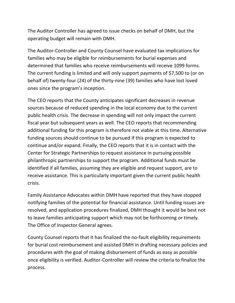The Auditor Controller has agreed to issue checks on behalf of DMH, but the operating budget will remain with DMH.

The Auditor-Controller and County Counsel have evaluated tax implications for families who may be eligible for reimbursements for burial expenses and determined that families who receive reimbursements will receive 1099 forms. The current funding is limited and will only support payments of \$7,500 to (or on behalf of) twenty-four (24) of the thirty-nine (39) families who have lost loved ones since the program's inception.

The CEO reports that the County anticipates significant decreases in revenue sources because of reduced spending in the local economy due to the current public health crisis. The decrease in spending will not only impact the current fiscal year but subsequent years as well. The CEO reports that recommending additional funding for this program is therefore not viable at this time. Alternative funding sources should continue to be pursued if this program is expected to continue and/or expand. Finally, the CEO reports that it is in contact with the Center for Strategic Partnerships to request assistance in pursuing possible philanthropic partnerships to support the program. Additional funds must be identified if all families, assuming they are eligible and request support, are to receive assistance. This is particularly important given the current public health crisis.

Family Assistance Advocates within DMH have reported that they have stopped notifying families of the potential for financial assistance. Until funding issues are resolved, and application procedures finalized, DMH thought it would be best not to leave families anticipating support which may not be forthcoming or timely. The Office of Inspector General agrees.

County Counsel reports that it has finalized the no-fault eligibility requirements for burial cost reimbursement and assisted DMH in drafting necessary policies and procedures with the goal of making disbursement of funds as easy as possible once eligibility is verified. Auditor-Controller will review the criteria to finalize the process.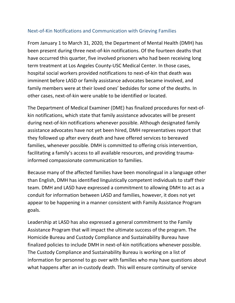## Next-of-Kin Notifications and Communication with Grieving Families

From January 1 to March 31, 2020, the Department of Mental Health (DMH) has been present during three next-of-kin notifications. Of the fourteen deaths that have occurred this quarter, five involved prisoners who had been receiving long term treatment at Los Angeles County-USC Medical Center. In those cases, hospital social workers provided notifications to next-of-kin that death was imminent before LASD or family assistance advocates became involved, and family members were at their loved ones' bedsides for some of the deaths. In other cases, next-of-kin were unable to be identified or located.

The Department of Medical Examiner (DME) has finalized procedures for next-ofkin notifications, which state that family assistance advocates will be present during next-of-kin notifications whenever possible. Although designated family assistance advocates have not yet been hired, DMH representatives report that they followed up after every death and have offered services to bereaved families, whenever possible. DMH is committed to offering crisis intervention, facilitating a family's access to all available resources, and providing traumainformed compassionate communication to families.

Because many of the affected families have been monolingual in a language other than English, DMH has identified linguistically competent individuals to staff their team. DMH and LASD have expressed a commitment to allowing DMH to act as a conduit for information between LASD and families, however, it does not yet appear to be happening in a manner consistent with Family Assistance Program goals.

Leadership at LASD has also expressed a general commitment to the Family Assistance Program that will impact the ultimate success of the program. The Homicide Bureau and Custody Compliance and Sustainability Bureau have finalized policies to include DMH in next-of-kin notifications whenever possible. The Custody Compliance and Sustainability Bureau is working on a list of information for personnel to go over with families who may have questions about what happens after an in-custody death. This will ensure continuity of service